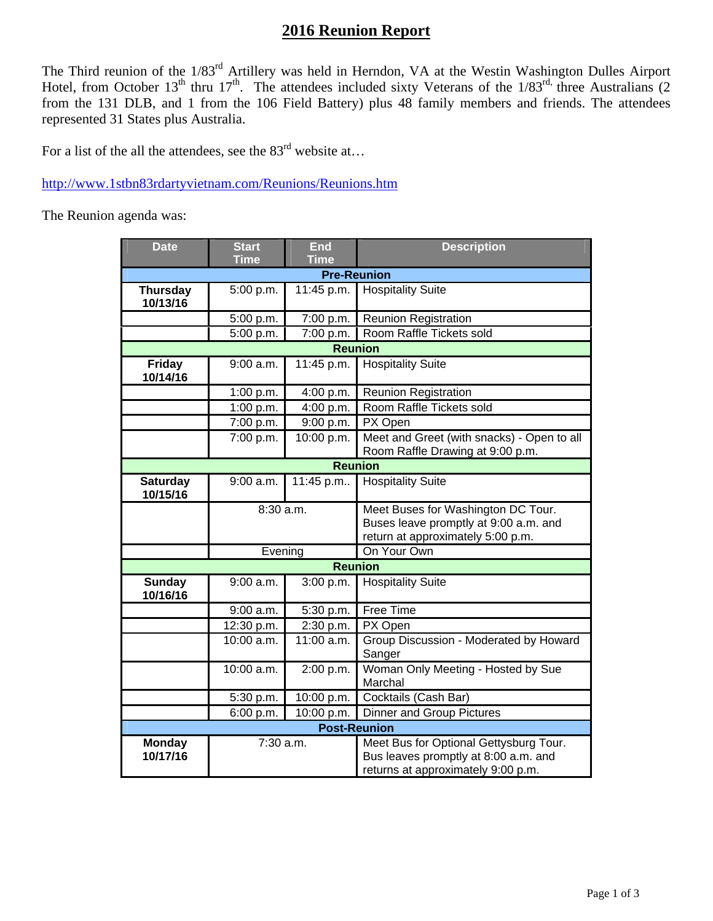## **2016 Reunion Report**

The Third reunion of the 1/83<sup>rd</sup> Artillery was held in Herndon, VA at the Westin Washington Dulles Airport Hotel, from October 13<sup>th</sup> thru 17<sup>th</sup>. The attendees included sixty Veterans of the 1/83<sup>rd,</sup> three Australians (2 from the 131 DLB, and 1 from the 106 Field Battery) plus 48 family members and friends. The attendees represented 31 States plus Australia.

For a list of the all the attendees, see the  $83<sup>rd</sup>$  website at...

http://www.1stbn83rdartyvietnam.com/Reunions/Reunions.htm

The Reunion agenda was:

| <b>Date</b>                 | <b>Start</b> | <b>End</b>   | <b>Description</b>                                                                                                   |
|-----------------------------|--------------|--------------|----------------------------------------------------------------------------------------------------------------------|
|                             | <b>Time</b>  | <b>Time</b>  |                                                                                                                      |
| <b>Pre-Reunion</b>          |              |              |                                                                                                                      |
| <b>Thursday</b><br>10/13/16 | 5:00 p.m.    | 11:45 p.m.   | <b>Hospitality Suite</b>                                                                                             |
|                             | 5:00 p.m.    | 7:00 p.m.    | <b>Reunion Registration</b>                                                                                          |
|                             | 5:00 p.m.    | 7:00 p.m.    | Room Raffle Tickets sold                                                                                             |
| <b>Reunion</b>              |              |              |                                                                                                                      |
| <b>Friday</b><br>10/14/16   | 9:00 a.m.    | 11:45 p.m.   | <b>Hospitality Suite</b>                                                                                             |
|                             | 1:00 p.m.    | 4:00 p.m.    | <b>Reunion Registration</b>                                                                                          |
|                             | 1:00 p.m.    | 4:00 p.m.    | Room Raffle Tickets sold                                                                                             |
|                             | 7:00 p.m.    | 9:00 p.m.    | PX Open                                                                                                              |
|                             | 7:00 p.m.    | 10:00 p.m.   | Meet and Greet (with snacks) - Open to all<br>Room Raffle Drawing at 9:00 p.m.                                       |
| <b>Reunion</b>              |              |              |                                                                                                                      |
| <b>Saturday</b><br>10/15/16 | $9:00$ a.m.  | 11:45 p.m    | <b>Hospitality Suite</b>                                                                                             |
|                             | 8:30 a.m.    |              | Meet Buses for Washington DC Tour.<br>Buses leave promptly at 9:00 a.m. and<br>return at approximately 5:00 p.m.     |
|                             | Evening      |              | On Your Own                                                                                                          |
| <b>Reunion</b>              |              |              |                                                                                                                      |
| <b>Sunday</b><br>10/16/16   | 9:00 a.m.    | 3:00 p.m.    | <b>Hospitality Suite</b>                                                                                             |
|                             | 9:00 a.m.    | 5:30 p.m.    | Free Time                                                                                                            |
|                             | 12:30 p.m.   | 2:30 p.m.    | PX Open                                                                                                              |
|                             | $10:00$ a.m. | $11:00$ a.m. | Group Discussion - Moderated by Howard<br>Sanger                                                                     |
|                             | 10:00 a.m.   | 2:00 p.m.    | Woman Only Meeting - Hosted by Sue<br>Marchal                                                                        |
|                             | 5:30 p.m.    | 10:00 p.m.   | Cocktails (Cash Bar)                                                                                                 |
|                             | 6:00 p.m.    | 10:00 p.m.   | Dinner and Group Pictures                                                                                            |
| <b>Post-Reunion</b>         |              |              |                                                                                                                      |
| <b>Monday</b><br>10/17/16   | 7:30 a.m.    |              | Meet Bus for Optional Gettysburg Tour.<br>Bus leaves promptly at 8:00 a.m. and<br>returns at approximately 9:00 p.m. |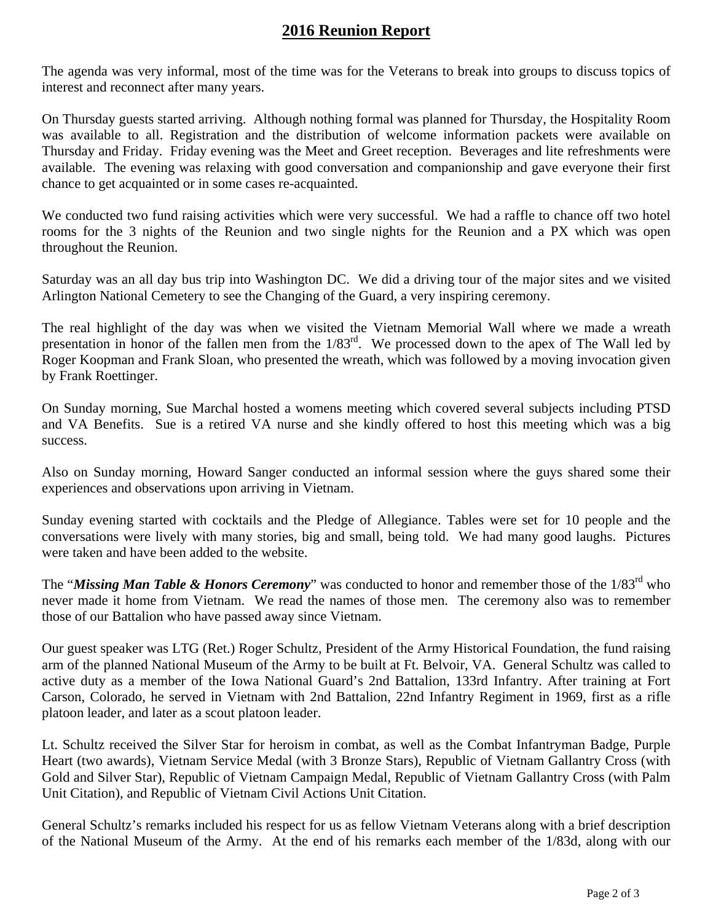## **2016 Reunion Report**

The agenda was very informal, most of the time was for the Veterans to break into groups to discuss topics of interest and reconnect after many years.

On Thursday guests started arriving. Although nothing formal was planned for Thursday, the Hospitality Room was available to all. Registration and the distribution of welcome information packets were available on Thursday and Friday. Friday evening was the Meet and Greet reception. Beverages and lite refreshments were available. The evening was relaxing with good conversation and companionship and gave everyone their first chance to get acquainted or in some cases re-acquainted.

We conducted two fund raising activities which were very successful. We had a raffle to chance off two hotel rooms for the 3 nights of the Reunion and two single nights for the Reunion and a PX which was open throughout the Reunion.

Saturday was an all day bus trip into Washington DC. We did a driving tour of the major sites and we visited Arlington National Cemetery to see the Changing of the Guard, a very inspiring ceremony.

The real highlight of the day was when we visited the Vietnam Memorial Wall where we made a wreath presentation in honor of the fallen men from the 1/83rd. We processed down to the apex of The Wall led by Roger Koopman and Frank Sloan, who presented the wreath, which was followed by a moving invocation given by Frank Roettinger.

On Sunday morning, Sue Marchal hosted a womens meeting which covered several subjects including PTSD and VA Benefits. Sue is a retired VA nurse and she kindly offered to host this meeting which was a big success.

Also on Sunday morning, Howard Sanger conducted an informal session where the guys shared some their experiences and observations upon arriving in Vietnam.

Sunday evening started with cocktails and the Pledge of Allegiance. Tables were set for 10 people and the conversations were lively with many stories, big and small, being told. We had many good laughs. Pictures were taken and have been added to the website.

The "*Missing Man Table & Honors Ceremony*" was conducted to honor and remember those of the 1/83<sup>rd</sup> who never made it home from Vietnam. We read the names of those men. The ceremony also was to remember those of our Battalion who have passed away since Vietnam.

Our guest speaker was LTG (Ret.) Roger Schultz, President of the Army Historical Foundation, the fund raising arm of the planned National Museum of the Army to be built at Ft. Belvoir, VA. General Schultz was called to active duty as a member of the Iowa National Guard's 2nd Battalion, 133rd Infantry. After training at Fort Carson, Colorado, he served in Vietnam with 2nd Battalion, 22nd Infantry Regiment in 1969, first as a rifle platoon leader, and later as a scout platoon leader.

Lt. Schultz received the Silver Star for heroism in combat, as well as the Combat Infantryman Badge, Purple Heart (two awards), Vietnam Service Medal (with 3 Bronze Stars), Republic of Vietnam Gallantry Cross (with Gold and Silver Star), Republic of Vietnam Campaign Medal, Republic of Vietnam Gallantry Cross (with Palm Unit Citation), and Republic of Vietnam Civil Actions Unit Citation.

General Schultz's remarks included his respect for us as fellow Vietnam Veterans along with a brief description of the National Museum of the Army. At the end of his remarks each member of the 1/83d, along with our